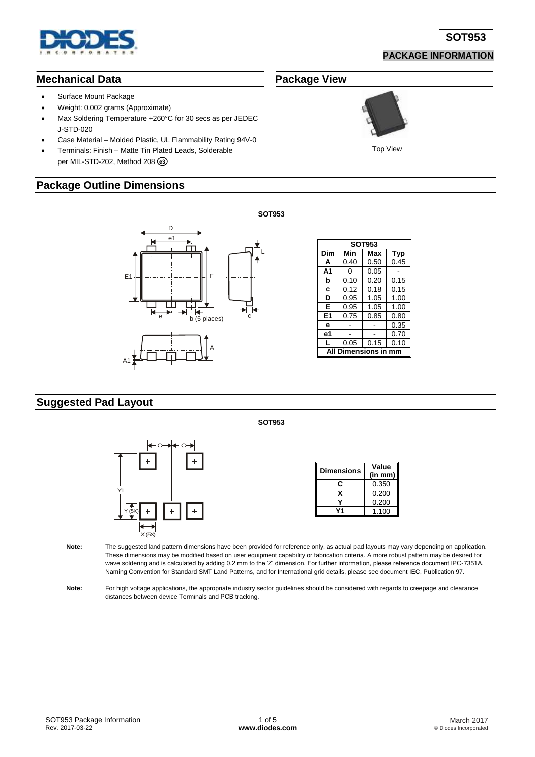

#### **PACKAGE INFORMATION**

#### **Mechanical Data**

- Surface Mount Package
- Weight: 0.002 grams (Approximate)
- Max Soldering Temperature +260°C for 30 secs as per JEDEC J-STD-020
- Case Material Molded Plastic, UL Flammability Rating 94V-0
- Terminals: Finish Matte Tin Plated Leads, Solderable per MIL-STD-202, Method 208 **e3**

#### **Package Outline Dimensions**



| <b>SOT953</b>   |            |      |      |  |  |  |  |
|-----------------|------------|------|------|--|--|--|--|
| Dim             | Min<br>Max |      | Typ  |  |  |  |  |
| A               | 0.40       | 0.50 | 0.45 |  |  |  |  |
| A <sub>1</sub>  | ი          | 0.05 |      |  |  |  |  |
| b               | 0.10       | 0.20 | 0.15 |  |  |  |  |
| c               | 0.12       | 0.18 | 0.15 |  |  |  |  |
| D               | 0.95       | 1.05 | 1.00 |  |  |  |  |
| Е<br>0.95       |            | 1.05 | 1.00 |  |  |  |  |
| E1              | 0.75       | 0.85 | 0.80 |  |  |  |  |
| е               |            |      | 0.35 |  |  |  |  |
| е1              |            |      | 0.70 |  |  |  |  |
| L               | 0.05       | 0.15 | 0.10 |  |  |  |  |
| Dimensions in m |            |      |      |  |  |  |  |

#### **Suggested Pad Layout**



| <b>Dimensions</b> | Value<br>(in mm) |  |  |
|-------------------|------------------|--|--|
| r                 | 0.350            |  |  |
|                   | 0.200            |  |  |
|                   | 0.200            |  |  |
|                   | 1.100            |  |  |

**Note:** The suggested land pattern dimensions have been provided for reference only, as actual pad layouts may vary depending on application. These dimensions may be modified based on user equipment capability or fabrication criteria. A more robust pattern may be desired for wave soldering and is calculated by adding 0.2 mm to the 'Z' dimension. For further information, please reference document IPC-7351A, Naming Convention for Standard SMT Land Patterns, and for International grid details, please see document IEC, Publication 97.

Note: For high voltage applications, the appropriate industry sector guidelines should be considered with regards to creepage and clearance distances between device Terminals and PCB tracking.

**SOT953**

L

# **Package View**



Top View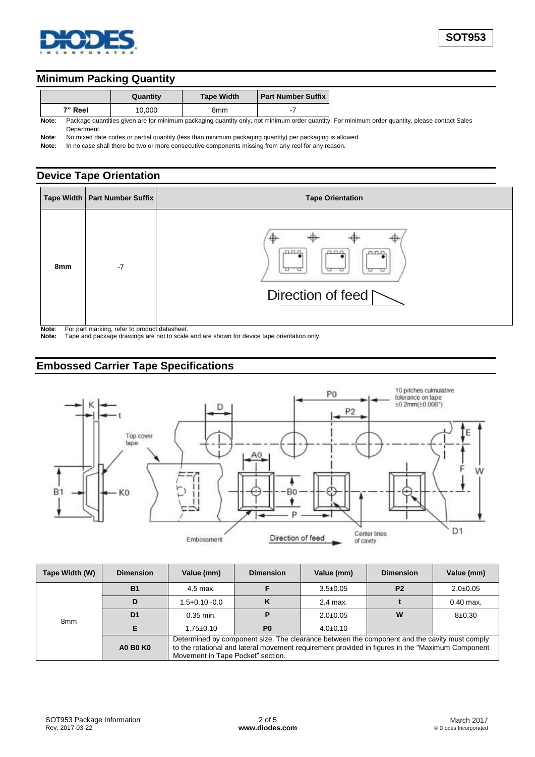

#### **Minimum Packing Quantity**

|       |             | Quantity | <b>Tape Width</b> | <b>Part Number Suffix  </b> |                                                                                                                                                |
|-------|-------------|----------|-------------------|-----------------------------|------------------------------------------------------------------------------------------------------------------------------------------------|
|       | 7" Reel     | 10.000   | 8mm               |                             |                                                                                                                                                |
| Note: |             |          |                   |                             | Package quantities given are for minimum packaging quantity only, not minimum order quantity. For minimum order quantity, please contact Sales |
|       | Department. |          |                   |                             |                                                                                                                                                |

**Note**: No mixed date codes or partial quantity (less than minimum packaging quantity) per packaging is allowed.

Note: In no case shall there be two or more consecutive components missing from any reel for any reason.

### **Device Tape Orientation**

|                        | Tape Width   Part Number Suffix                     | <b>Tape Orientation</b>                           |
|------------------------|-----------------------------------------------------|---------------------------------------------------|
| 8mm<br><b>Material</b> | $-7$<br>For nort modive refer to need ust detected. | лпп,<br>ann<br>0.00<br>Direction of feed $\Gamma$ |

**Note:** For part marking, refer to product dat **Note:** Tape and package drawings are not

**Note:** Tape and package drawings are not to scale and are shown for device tape orientation only.

### **Embossed Carrier Tape Specifications**



| Tape Width (W)  | <b>Dimension</b> | Value (mm)                                                                                                                                                                                                                             | <b>Dimension</b> | Value (mm)     | <b>Dimension</b> | Value (mm)     |  |  |
|-----------------|------------------|----------------------------------------------------------------------------------------------------------------------------------------------------------------------------------------------------------------------------------------|------------------|----------------|------------------|----------------|--|--|
| 8 <sub>mm</sub> | <b>B1</b>        | 4.5 max.                                                                                                                                                                                                                               |                  | $3.5 \pm 0.05$ | P <sub>2</sub>   | $2.0 \pm 0.05$ |  |  |
|                 |                  | 1.5+0.10 -0.0                                                                                                                                                                                                                          | κ                | 2.4 max.       |                  | $0.40$ max.    |  |  |
|                 | D <sub>1</sub>   | $0.35$ min.                                                                                                                                                                                                                            |                  | $2.0 \pm 0.05$ | W                | $8 + 0.30$     |  |  |
|                 |                  | $1.75 \pm 0.10$                                                                                                                                                                                                                        | P <sub>0</sub>   | $4.0 \pm 0.10$ |                  |                |  |  |
|                 | <b>A0 B0 K0</b>  | Determined by component size. The clearance between the component and the cavity must comply<br>to the rotational and lateral movement requirement provided in figures in the "Maximum Component"<br>Movement in Tape Pocket" section. |                  |                |                  |                |  |  |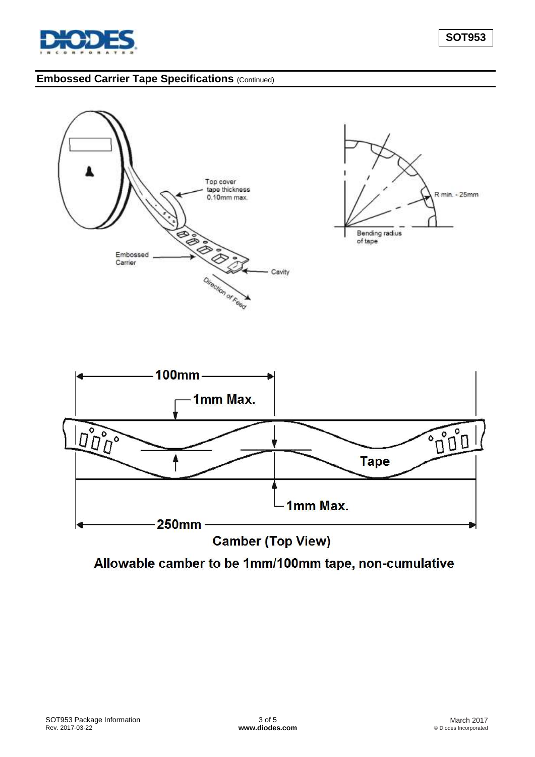

# **Embossed Carrier Tape Specifications** (Continued)



Allowable camber to be 1mm/100mm tape, non-cumulative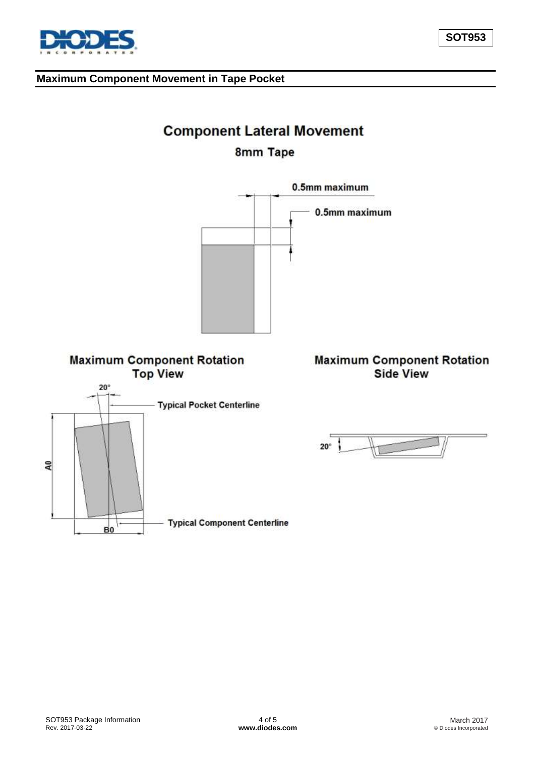#### **Maximum Component Movement in Tape Pocket**

# **Component Lateral Movement**

# 8mm Tape